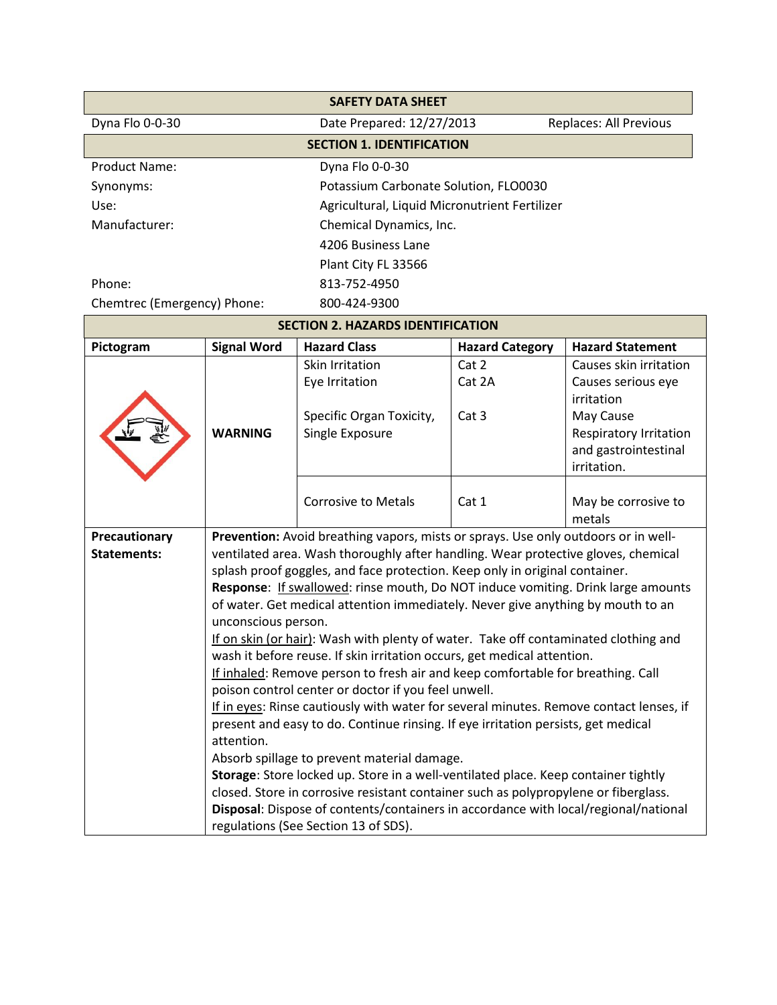| <b>SAFETY DATA SHEET</b>                                               |                                                                                                                                                                             |                                                                                    |                        |                         |
|------------------------------------------------------------------------|-----------------------------------------------------------------------------------------------------------------------------------------------------------------------------|------------------------------------------------------------------------------------|------------------------|-------------------------|
| Dyna Flo 0-0-30<br>Date Prepared: 12/27/2013<br>Replaces: All Previous |                                                                                                                                                                             |                                                                                    |                        |                         |
| <b>SECTION 1. IDENTIFICATION</b>                                       |                                                                                                                                                                             |                                                                                    |                        |                         |
| Dyna Flo 0-0-30<br><b>Product Name:</b>                                |                                                                                                                                                                             |                                                                                    |                        |                         |
| Synonyms:                                                              |                                                                                                                                                                             | Potassium Carbonate Solution, FLO0030                                              |                        |                         |
| Use:                                                                   |                                                                                                                                                                             | Agricultural, Liquid Micronutrient Fertilizer                                      |                        |                         |
| Manufacturer:                                                          | Chemical Dynamics, Inc.                                                                                                                                                     |                                                                                    |                        |                         |
| 4206 Business Lane                                                     |                                                                                                                                                                             |                                                                                    |                        |                         |
|                                                                        | Plant City FL 33566                                                                                                                                                         |                                                                                    |                        |                         |
| Phone:                                                                 |                                                                                                                                                                             | 813-752-4950                                                                       |                        |                         |
| Chemtrec (Emergency) Phone:                                            |                                                                                                                                                                             | 800-424-9300                                                                       |                        |                         |
|                                                                        |                                                                                                                                                                             | <b>SECTION 2. HAZARDS IDENTIFICATION</b>                                           |                        |                         |
| Pictogram                                                              | <b>Signal Word</b>                                                                                                                                                          | <b>Hazard Class</b>                                                                | <b>Hazard Category</b> | <b>Hazard Statement</b> |
|                                                                        |                                                                                                                                                                             | <b>Skin Irritation</b>                                                             | Cat 2                  | Causes skin irritation  |
|                                                                        |                                                                                                                                                                             | Eye Irritation                                                                     | Cat 2A                 | Causes serious eye      |
|                                                                        |                                                                                                                                                                             | Specific Organ Toxicity,                                                           | Cat 3                  | irritation<br>May Cause |
|                                                                        | <b>WARNING</b>                                                                                                                                                              | Single Exposure                                                                    |                        | Respiratory Irritation  |
|                                                                        |                                                                                                                                                                             |                                                                                    |                        | and gastrointestinal    |
|                                                                        |                                                                                                                                                                             |                                                                                    |                        | irritation.             |
|                                                                        |                                                                                                                                                                             |                                                                                    |                        |                         |
|                                                                        |                                                                                                                                                                             | <b>Corrosive to Metals</b>                                                         | Cat 1                  | May be corrosive to     |
|                                                                        |                                                                                                                                                                             |                                                                                    |                        | metals                  |
| Precautionary<br><b>Statements:</b>                                    |                                                                                                                                                                             | Prevention: Avoid breathing vapors, mists or sprays. Use only outdoors or in well- |                        |                         |
|                                                                        | ventilated area. Wash thoroughly after handling. Wear protective gloves, chemical                                                                                           |                                                                                    |                        |                         |
|                                                                        | splash proof goggles, and face protection. Keep only in original container.<br>Response: If swallowed: rinse mouth, Do NOT induce vomiting. Drink large amounts             |                                                                                    |                        |                         |
|                                                                        | of water. Get medical attention immediately. Never give anything by mouth to an                                                                                             |                                                                                    |                        |                         |
|                                                                        | unconscious person.                                                                                                                                                         |                                                                                    |                        |                         |
|                                                                        | If on skin (or hair): Wash with plenty of water. Take off contaminated clothing and                                                                                         |                                                                                    |                        |                         |
|                                                                        | wash it before reuse. If skin irritation occurs, get medical attention.                                                                                                     |                                                                                    |                        |                         |
|                                                                        | If inhaled: Remove person to fresh air and keep comfortable for breathing. Call                                                                                             |                                                                                    |                        |                         |
|                                                                        | poison control center or doctor if you feel unwell.                                                                                                                         |                                                                                    |                        |                         |
|                                                                        | If in eyes: Rinse cautiously with water for several minutes. Remove contact lenses, if<br>present and easy to do. Continue rinsing. If eye irritation persists, get medical |                                                                                    |                        |                         |
|                                                                        | attention.                                                                                                                                                                  |                                                                                    |                        |                         |
|                                                                        | Absorb spillage to prevent material damage.                                                                                                                                 |                                                                                    |                        |                         |
|                                                                        |                                                                                                                                                                             | Storage: Store locked up. Store in a well-ventilated place. Keep container tightly |                        |                         |
|                                                                        | closed. Store in corrosive resistant container such as polypropylene or fiberglass.                                                                                         |                                                                                    |                        |                         |
|                                                                        | Disposal: Dispose of contents/containers in accordance with local/regional/national                                                                                         |                                                                                    |                        |                         |
|                                                                        | regulations (See Section 13 of SDS).                                                                                                                                        |                                                                                    |                        |                         |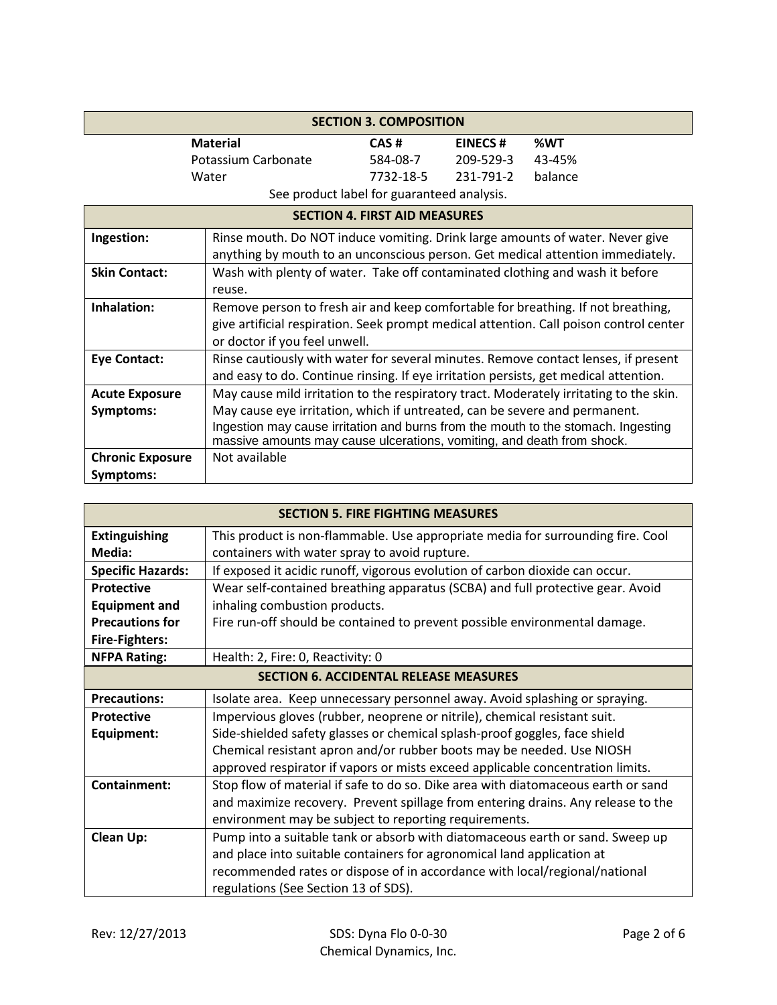| <b>SECTION 3. COMPOSITION</b>        |                                                                                                                                                                                                                                                                                                                                     |           |                |                                                                                                                                                                            |
|--------------------------------------|-------------------------------------------------------------------------------------------------------------------------------------------------------------------------------------------------------------------------------------------------------------------------------------------------------------------------------------|-----------|----------------|----------------------------------------------------------------------------------------------------------------------------------------------------------------------------|
|                                      | <b>Material</b>                                                                                                                                                                                                                                                                                                                     | CAS#      | <b>EINECS#</b> | %WT                                                                                                                                                                        |
|                                      | Potassium Carbonate                                                                                                                                                                                                                                                                                                                 | 584-08-7  | 209-529-3      | 43-45%                                                                                                                                                                     |
|                                      | Water                                                                                                                                                                                                                                                                                                                               | 7732-18-5 | 231-791-2      | balance                                                                                                                                                                    |
|                                      | See product label for guaranteed analysis.                                                                                                                                                                                                                                                                                          |           |                |                                                                                                                                                                            |
| <b>SECTION 4. FIRST AID MEASURES</b> |                                                                                                                                                                                                                                                                                                                                     |           |                |                                                                                                                                                                            |
| Ingestion:                           | Rinse mouth. Do NOT induce vomiting. Drink large amounts of water. Never give                                                                                                                                                                                                                                                       |           |                | anything by mouth to an unconscious person. Get medical attention immediately.                                                                                             |
| <b>Skin Contact:</b>                 | Wash with plenty of water. Take off contaminated clothing and wash it before<br>reuse.                                                                                                                                                                                                                                              |           |                |                                                                                                                                                                            |
| Inhalation:                          | or doctor if you feel unwell.                                                                                                                                                                                                                                                                                                       |           |                | Remove person to fresh air and keep comfortable for breathing. If not breathing,<br>give artificial respiration. Seek prompt medical attention. Call poison control center |
| <b>Eye Contact:</b>                  | and easy to do. Continue rinsing. If eye irritation persists, get medical attention.                                                                                                                                                                                                                                                |           |                | Rinse cautiously with water for several minutes. Remove contact lenses, if present                                                                                         |
| <b>Acute Exposure</b><br>Symptoms:   | May cause mild irritation to the respiratory tract. Moderately irritating to the skin.<br>May cause eye irritation, which if untreated, can be severe and permanent.<br>Ingestion may cause irritation and burns from the mouth to the stomach. Ingesting<br>massive amounts may cause ulcerations, vomiting, and death from shock. |           |                |                                                                                                                                                                            |
| <b>Chronic Exposure</b><br>Symptoms: | Not available                                                                                                                                                                                                                                                                                                                       |           |                |                                                                                                                                                                            |

| <b>SECTION 5. FIRE FIGHTING MEASURES</b>      |                                                                                   |  |  |
|-----------------------------------------------|-----------------------------------------------------------------------------------|--|--|
| <b>Extinguishing</b>                          | This product is non-flammable. Use appropriate media for surrounding fire. Cool   |  |  |
| Media:                                        | containers with water spray to avoid rupture.                                     |  |  |
| <b>Specific Hazards:</b>                      | If exposed it acidic runoff, vigorous evolution of carbon dioxide can occur.      |  |  |
| <b>Protective</b>                             | Wear self-contained breathing apparatus (SCBA) and full protective gear. Avoid    |  |  |
| <b>Equipment and</b>                          | inhaling combustion products.                                                     |  |  |
| <b>Precautions for</b>                        | Fire run-off should be contained to prevent possible environmental damage.        |  |  |
| <b>Fire-Fighters:</b>                         |                                                                                   |  |  |
| <b>NFPA Rating:</b>                           | Health: 2, Fire: 0, Reactivity: 0                                                 |  |  |
| <b>SECTION 6. ACCIDENTAL RELEASE MEASURES</b> |                                                                                   |  |  |
| <b>Precautions:</b>                           | Isolate area. Keep unnecessary personnel away. Avoid splashing or spraying.       |  |  |
| <b>Protective</b>                             | Impervious gloves (rubber, neoprene or nitrile), chemical resistant suit.         |  |  |
| Equipment:                                    | Side-shielded safety glasses or chemical splash-proof goggles, face shield        |  |  |
|                                               | Chemical resistant apron and/or rubber boots may be needed. Use NIOSH             |  |  |
|                                               | approved respirator if vapors or mists exceed applicable concentration limits.    |  |  |
| <b>Containment:</b>                           | Stop flow of material if safe to do so. Dike area with diatomaceous earth or sand |  |  |
|                                               | and maximize recovery. Prevent spillage from entering drains. Any release to the  |  |  |
|                                               | environment may be subject to reporting requirements.                             |  |  |
| <b>Clean Up:</b>                              | Pump into a suitable tank or absorb with diatomaceous earth or sand. Sweep up     |  |  |
|                                               | and place into suitable containers for agronomical land application at            |  |  |
|                                               | recommended rates or dispose of in accordance with local/regional/national        |  |  |
|                                               | regulations (See Section 13 of SDS).                                              |  |  |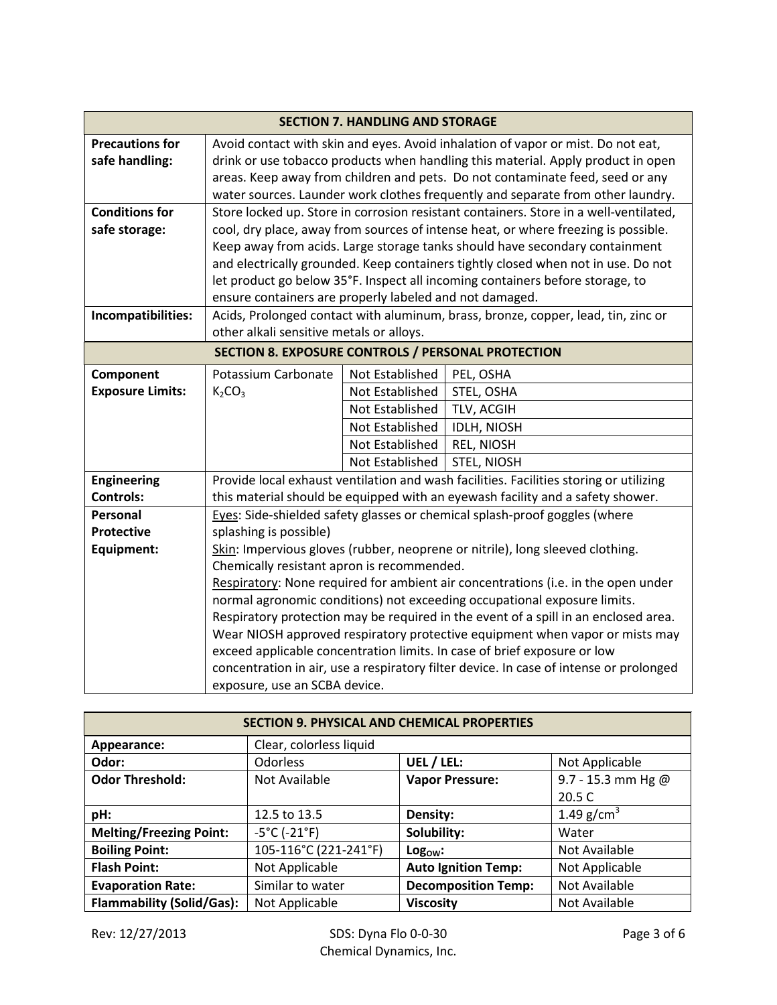| <b>SECTION 7. HANDLING AND STORAGE</b> |                                                                                        |                                                                                   |                                                                                       |  |
|----------------------------------------|----------------------------------------------------------------------------------------|-----------------------------------------------------------------------------------|---------------------------------------------------------------------------------------|--|
| <b>Precautions for</b>                 |                                                                                        |                                                                                   | Avoid contact with skin and eyes. Avoid inhalation of vapor or mist. Do not eat,      |  |
| safe handling:                         | drink or use tobacco products when handling this material. Apply product in open       |                                                                                   |                                                                                       |  |
|                                        | areas. Keep away from children and pets. Do not contaminate feed, seed or any          |                                                                                   |                                                                                       |  |
|                                        | water sources. Launder work clothes frequently and separate from other laundry.        |                                                                                   |                                                                                       |  |
| <b>Conditions for</b>                  |                                                                                        |                                                                                   | Store locked up. Store in corrosion resistant containers. Store in a well-ventilated, |  |
| safe storage:                          |                                                                                        |                                                                                   | cool, dry place, away from sources of intense heat, or where freezing is possible.    |  |
|                                        |                                                                                        |                                                                                   | Keep away from acids. Large storage tanks should have secondary containment           |  |
|                                        |                                                                                        |                                                                                   | and electrically grounded. Keep containers tightly closed when not in use. Do not     |  |
|                                        |                                                                                        |                                                                                   | let product go below 35°F. Inspect all incoming containers before storage, to         |  |
|                                        | ensure containers are properly labeled and not damaged.                                |                                                                                   |                                                                                       |  |
| Incompatibilities:                     |                                                                                        | Acids, Prolonged contact with aluminum, brass, bronze, copper, lead, tin, zinc or |                                                                                       |  |
|                                        | other alkali sensitive metals or alloys.                                               |                                                                                   |                                                                                       |  |
|                                        | SECTION 8. EXPOSURE CONTROLS / PERSONAL PROTECTION                                     |                                                                                   |                                                                                       |  |
| Component                              | Potassium Carbonate                                                                    | Not Established                                                                   | PEL, OSHA                                                                             |  |
| <b>Exposure Limits:</b>                | $K_2CO_3$                                                                              | Not Established                                                                   | STEL, OSHA                                                                            |  |
|                                        |                                                                                        | Not Established                                                                   | TLV, ACGIH                                                                            |  |
|                                        |                                                                                        | Not Established                                                                   | <b>IDLH, NIOSH</b>                                                                    |  |
|                                        |                                                                                        | Not Established                                                                   | <b>REL, NIOSH</b>                                                                     |  |
|                                        |                                                                                        | Not Established                                                                   | STEL, NIOSH                                                                           |  |
| <b>Engineering</b>                     | Provide local exhaust ventilation and wash facilities. Facilities storing or utilizing |                                                                                   |                                                                                       |  |
| <b>Controls:</b>                       | this material should be equipped with an eyewash facility and a safety shower.         |                                                                                   |                                                                                       |  |
| Personal                               | Eyes: Side-shielded safety glasses or chemical splash-proof goggles (where             |                                                                                   |                                                                                       |  |
| <b>Protective</b>                      | splashing is possible)                                                                 |                                                                                   |                                                                                       |  |
| Equipment:                             | Skin: Impervious gloves (rubber, neoprene or nitrile), long sleeved clothing.          |                                                                                   |                                                                                       |  |
|                                        | Chemically resistant apron is recommended.                                             |                                                                                   |                                                                                       |  |
|                                        | Respiratory: None required for ambient air concentrations (i.e. in the open under      |                                                                                   |                                                                                       |  |
|                                        |                                                                                        |                                                                                   | normal agronomic conditions) not exceeding occupational exposure limits.              |  |
|                                        |                                                                                        |                                                                                   | Respiratory protection may be required in the event of a spill in an enclosed area.   |  |
|                                        |                                                                                        | Wear NIOSH approved respiratory protective equipment when vapor or mists may      |                                                                                       |  |
|                                        |                                                                                        | exceed applicable concentration limits. In case of brief exposure or low          |                                                                                       |  |
|                                        | concentration in air, use a respiratory filter device. In case of intense or prolonged |                                                                                   |                                                                                       |  |
|                                        | exposure, use an SCBA device.                                                          |                                                                                   |                                                                                       |  |

| <b>SECTION 9. PHYSICAL AND CHEMICAL PROPERTIES</b> |                                   |                            |                      |
|----------------------------------------------------|-----------------------------------|----------------------------|----------------------|
| Appearance:                                        | Clear, colorless liquid           |                            |                      |
| Odor:                                              | <b>Odorless</b>                   | UEL / LEL:                 | Not Applicable       |
| <b>Odor Threshold:</b>                             | Not Available                     | <b>Vapor Pressure:</b>     | 9.7 - 15.3 mm Hg $@$ |
|                                                    |                                   |                            | 20.5 C               |
| pH:                                                | 12.5 to 13.5                      | Density:                   | 1.49 $g/cm^{3}$      |
| <b>Melting/Freezing Point:</b>                     | $-5^{\circ}$ C ( $-21^{\circ}$ F) | Solubility:                | Water                |
| <b>Boiling Point:</b>                              | 105-116°C (221-241°F)             | $Log_{ow}:$                | Not Available        |
| <b>Flash Point:</b>                                | Not Applicable                    | <b>Auto Ignition Temp:</b> | Not Applicable       |
| <b>Evaporation Rate:</b>                           | Similar to water                  | <b>Decomposition Temp:</b> | Not Available        |
| <b>Flammability (Solid/Gas):</b>                   | Not Applicable                    | <b>Viscosity</b>           | Not Available        |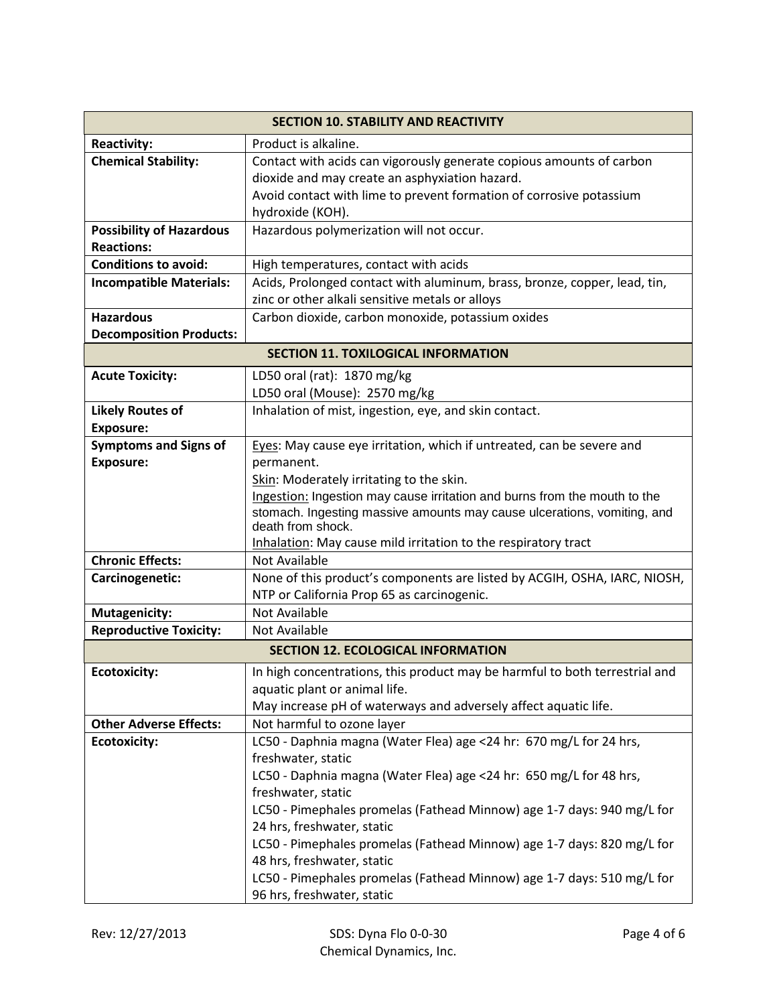|                                 | <b>SECTION 10. STABILITY AND REACTIVITY</b>                                                  |
|---------------------------------|----------------------------------------------------------------------------------------------|
| <b>Reactivity:</b>              | Product is alkaline.                                                                         |
| <b>Chemical Stability:</b>      | Contact with acids can vigorously generate copious amounts of carbon                         |
|                                 | dioxide and may create an asphyxiation hazard.                                               |
|                                 | Avoid contact with lime to prevent formation of corrosive potassium                          |
|                                 | hydroxide (KOH).                                                                             |
| <b>Possibility of Hazardous</b> | Hazardous polymerization will not occur.                                                     |
| <b>Reactions:</b>               |                                                                                              |
| <b>Conditions to avoid:</b>     | High temperatures, contact with acids                                                        |
| <b>Incompatible Materials:</b>  | Acids, Prolonged contact with aluminum, brass, bronze, copper, lead, tin,                    |
|                                 | zinc or other alkali sensitive metals or alloys                                              |
| <b>Hazardous</b>                | Carbon dioxide, carbon monoxide, potassium oxides                                            |
| <b>Decomposition Products:</b>  |                                                                                              |
|                                 | <b>SECTION 11. TOXILOGICAL INFORMATION</b>                                                   |
| <b>Acute Toxicity:</b>          | LD50 oral (rat): 1870 mg/kg                                                                  |
|                                 | LD50 oral (Mouse): 2570 mg/kg                                                                |
| <b>Likely Routes of</b>         | Inhalation of mist, ingestion, eye, and skin contact.                                        |
| <b>Exposure:</b>                |                                                                                              |
| <b>Symptoms and Signs of</b>    | Eyes: May cause eye irritation, which if untreated, can be severe and                        |
| <b>Exposure:</b>                | permanent.                                                                                   |
|                                 | Skin: Moderately irritating to the skin.                                                     |
|                                 | Ingestion: Ingestion may cause irritation and burns from the mouth to the                    |
|                                 | stomach. Ingesting massive amounts may cause ulcerations, vomiting, and<br>death from shock. |
|                                 | Inhalation: May cause mild irritation to the respiratory tract                               |
| <b>Chronic Effects:</b>         | Not Available                                                                                |
| Carcinogenetic:                 | None of this product's components are listed by ACGIH, OSHA, IARC, NIOSH,                    |
|                                 | NTP or California Prop 65 as carcinogenic.                                                   |
| <b>Mutagenicity:</b>            | Not Available                                                                                |
| <b>Reproductive Toxicity:</b>   | <b>Not Available</b>                                                                         |
|                                 | <b>SECTION 12. ECOLOGICAL INFORMATION</b>                                                    |
| <b>Ecotoxicity:</b>             | In high concentrations, this product may be harmful to both terrestrial and                  |
|                                 | aquatic plant or animal life.                                                                |
|                                 | May increase pH of waterways and adversely affect aquatic life.                              |
| <b>Other Adverse Effects:</b>   | Not harmful to ozone layer                                                                   |
| <b>Ecotoxicity:</b>             | LC50 - Daphnia magna (Water Flea) age <24 hr: 670 mg/L for 24 hrs,                           |
|                                 | freshwater, static                                                                           |
|                                 | LC50 - Daphnia magna (Water Flea) age <24 hr: 650 mg/L for 48 hrs,                           |
|                                 | freshwater, static                                                                           |
|                                 | LC50 - Pimephales promelas (Fathead Minnow) age 1-7 days: 940 mg/L for                       |
|                                 | 24 hrs, freshwater, static                                                                   |
|                                 | LC50 - Pimephales promelas (Fathead Minnow) age 1-7 days: 820 mg/L for                       |
|                                 | 48 hrs, freshwater, static                                                                   |
|                                 | LC50 - Pimephales promelas (Fathead Minnow) age 1-7 days: 510 mg/L for                       |
|                                 | 96 hrs, freshwater, static                                                                   |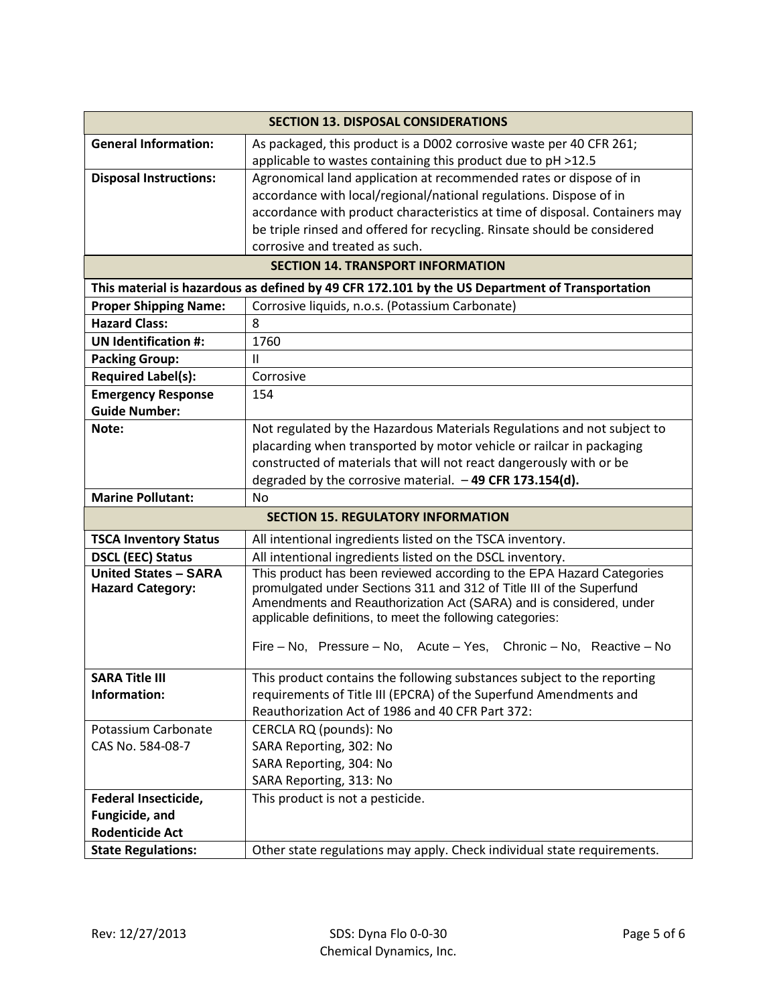|                                                        | <b>SECTION 13. DISPOSAL CONSIDERATIONS</b>                                                                                                                                                                                                                                                                                                             |
|--------------------------------------------------------|--------------------------------------------------------------------------------------------------------------------------------------------------------------------------------------------------------------------------------------------------------------------------------------------------------------------------------------------------------|
| <b>General Information:</b>                            | As packaged, this product is a D002 corrosive waste per 40 CFR 261;                                                                                                                                                                                                                                                                                    |
|                                                        | applicable to wastes containing this product due to pH >12.5                                                                                                                                                                                                                                                                                           |
| <b>Disposal Instructions:</b>                          | Agronomical land application at recommended rates or dispose of in                                                                                                                                                                                                                                                                                     |
|                                                        | accordance with local/regional/national regulations. Dispose of in                                                                                                                                                                                                                                                                                     |
|                                                        | accordance with product characteristics at time of disposal. Containers may                                                                                                                                                                                                                                                                            |
|                                                        | be triple rinsed and offered for recycling. Rinsate should be considered                                                                                                                                                                                                                                                                               |
|                                                        | corrosive and treated as such.                                                                                                                                                                                                                                                                                                                         |
|                                                        | <b>SECTION 14. TRANSPORT INFORMATION</b>                                                                                                                                                                                                                                                                                                               |
|                                                        | This material is hazardous as defined by 49 CFR 172.101 by the US Department of Transportation                                                                                                                                                                                                                                                         |
| <b>Proper Shipping Name:</b>                           | Corrosive liquids, n.o.s. (Potassium Carbonate)                                                                                                                                                                                                                                                                                                        |
| <b>Hazard Class:</b>                                   | 8                                                                                                                                                                                                                                                                                                                                                      |
| <b>UN Identification #:</b>                            | 1760                                                                                                                                                                                                                                                                                                                                                   |
| <b>Packing Group:</b>                                  | $\mathbf{H}$                                                                                                                                                                                                                                                                                                                                           |
| <b>Required Label(s):</b>                              | Corrosive                                                                                                                                                                                                                                                                                                                                              |
| <b>Emergency Response</b>                              | 154                                                                                                                                                                                                                                                                                                                                                    |
| <b>Guide Number:</b>                                   |                                                                                                                                                                                                                                                                                                                                                        |
| Note:                                                  | Not regulated by the Hazardous Materials Regulations and not subject to                                                                                                                                                                                                                                                                                |
|                                                        | placarding when transported by motor vehicle or railcar in packaging                                                                                                                                                                                                                                                                                   |
|                                                        | constructed of materials that will not react dangerously with or be                                                                                                                                                                                                                                                                                    |
|                                                        | degraded by the corrosive material. $-49$ CFR 173.154(d).                                                                                                                                                                                                                                                                                              |
| <b>Marine Pollutant:</b>                               | <b>No</b>                                                                                                                                                                                                                                                                                                                                              |
|                                                        | <b>SECTION 15. REGULATORY INFORMATION</b>                                                                                                                                                                                                                                                                                                              |
| <b>TSCA Inventory Status</b>                           | All intentional ingredients listed on the TSCA inventory.                                                                                                                                                                                                                                                                                              |
| <b>DSCL (EEC) Status</b>                               | All intentional ingredients listed on the DSCL inventory.                                                                                                                                                                                                                                                                                              |
| <b>United States - SARA</b><br><b>Hazard Category:</b> | This product has been reviewed according to the EPA Hazard Categories<br>promulgated under Sections 311 and 312 of Title III of the Superfund<br>Amendments and Reauthorization Act (SARA) and is considered, under<br>applicable definitions, to meet the following categories:<br>Fire - No, Pressure - No, Acute - Yes, Chronic - No, Reactive - No |
|                                                        |                                                                                                                                                                                                                                                                                                                                                        |
| <b>SARA Title III</b>                                  | This product contains the following substances subject to the reporting                                                                                                                                                                                                                                                                                |
| Information:                                           | requirements of Title III (EPCRA) of the Superfund Amendments and                                                                                                                                                                                                                                                                                      |
|                                                        | Reauthorization Act of 1986 and 40 CFR Part 372:                                                                                                                                                                                                                                                                                                       |
| Potassium Carbonate                                    | CERCLA RQ (pounds): No                                                                                                                                                                                                                                                                                                                                 |
| CAS No. 584-08-7                                       | SARA Reporting, 302: No                                                                                                                                                                                                                                                                                                                                |
|                                                        | SARA Reporting, 304: No                                                                                                                                                                                                                                                                                                                                |
|                                                        | SARA Reporting, 313: No                                                                                                                                                                                                                                                                                                                                |
| Federal Insecticide,                                   | This product is not a pesticide.                                                                                                                                                                                                                                                                                                                       |
| Fungicide, and                                         |                                                                                                                                                                                                                                                                                                                                                        |
| <b>Rodenticide Act</b>                                 |                                                                                                                                                                                                                                                                                                                                                        |
| <b>State Regulations:</b>                              | Other state regulations may apply. Check individual state requirements.                                                                                                                                                                                                                                                                                |